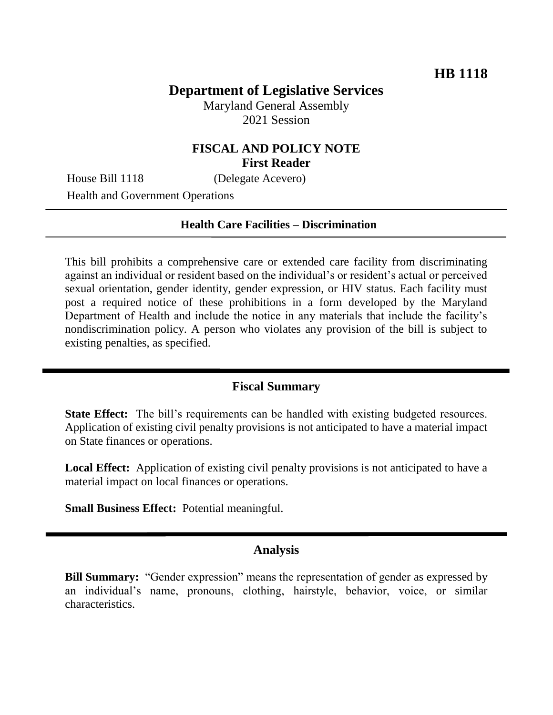# **Department of Legislative Services**

Maryland General Assembly 2021 Session

## **FISCAL AND POLICY NOTE First Reader**

House Bill 1118 (Delegate Acevero)

Health and Government Operations

#### **Health Care Facilities – Discrimination**

This bill prohibits a comprehensive care or extended care facility from discriminating against an individual or resident based on the individual's or resident's actual or perceived sexual orientation, gender identity, gender expression, or HIV status. Each facility must post a required notice of these prohibitions in a form developed by the Maryland Department of Health and include the notice in any materials that include the facility's nondiscrimination policy. A person who violates any provision of the bill is subject to existing penalties, as specified.

### **Fiscal Summary**

**State Effect:** The bill's requirements can be handled with existing budgeted resources. Application of existing civil penalty provisions is not anticipated to have a material impact on State finances or operations.

**Local Effect:** Application of existing civil penalty provisions is not anticipated to have a material impact on local finances or operations.

**Small Business Effect:** Potential meaningful.

#### **Analysis**

**Bill Summary:** "Gender expression" means the representation of gender as expressed by an individual's name, pronouns, clothing, hairstyle, behavior, voice, or similar characteristics.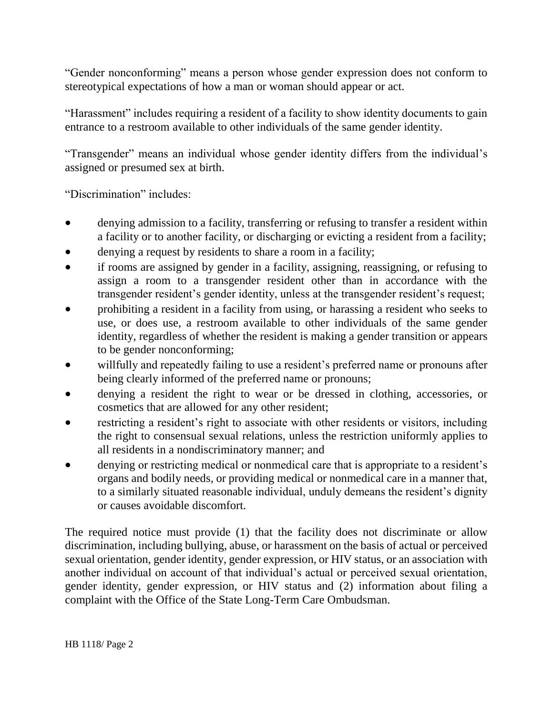"Gender nonconforming" means a person whose gender expression does not conform to stereotypical expectations of how a man or woman should appear or act.

"Harassment" includes requiring a resident of a facility to show identity documents to gain entrance to a restroom available to other individuals of the same gender identity.

"Transgender" means an individual whose gender identity differs from the individual's assigned or presumed sex at birth.

"Discrimination" includes:

- denying admission to a facility, transferring or refusing to transfer a resident within a facility or to another facility, or discharging or evicting a resident from a facility;
- denying a request by residents to share a room in a facility;
- if rooms are assigned by gender in a facility, assigning, reassigning, or refusing to assign a room to a transgender resident other than in accordance with the transgender resident's gender identity, unless at the transgender resident's request;
- prohibiting a resident in a facility from using, or harassing a resident who seeks to use, or does use, a restroom available to other individuals of the same gender identity, regardless of whether the resident is making a gender transition or appears to be gender nonconforming;
- willfully and repeatedly failing to use a resident's preferred name or pronouns after being clearly informed of the preferred name or pronouns;
- denying a resident the right to wear or be dressed in clothing, accessories, or cosmetics that are allowed for any other resident;
- restricting a resident's right to associate with other residents or visitors, including the right to consensual sexual relations, unless the restriction uniformly applies to all residents in a nondiscriminatory manner; and
- denying or restricting medical or nonmedical care that is appropriate to a resident's organs and bodily needs, or providing medical or nonmedical care in a manner that, to a similarly situated reasonable individual, unduly demeans the resident's dignity or causes avoidable discomfort.

The required notice must provide (1) that the facility does not discriminate or allow discrimination, including bullying, abuse, or harassment on the basis of actual or perceived sexual orientation, gender identity, gender expression, or HIV status, or an association with another individual on account of that individual's actual or perceived sexual orientation, gender identity, gender expression, or HIV status and (2) information about filing a complaint with the Office of the State Long-Term Care Ombudsman.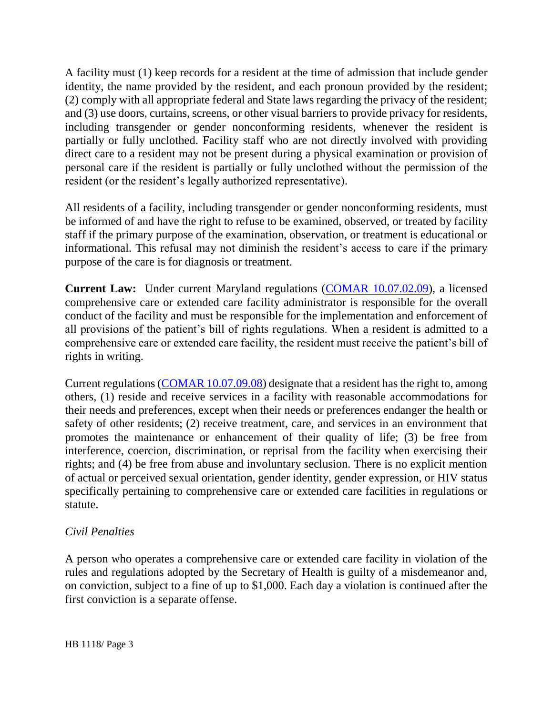A facility must (1) keep records for a resident at the time of admission that include gender identity, the name provided by the resident, and each pronoun provided by the resident; (2) comply with all appropriate federal and State laws regarding the privacy of the resident; and (3) use doors, curtains, screens, or other visual barriers to provide privacy for residents, including transgender or gender nonconforming residents, whenever the resident is partially or fully unclothed. Facility staff who are not directly involved with providing direct care to a resident may not be present during a physical examination or provision of personal care if the resident is partially or fully unclothed without the permission of the resident (or the resident's legally authorized representative).

All residents of a facility, including transgender or gender nonconforming residents, must be informed of and have the right to refuse to be examined, observed, or treated by facility staff if the primary purpose of the examination, observation, or treatment is educational or informational. This refusal may not diminish the resident's access to care if the primary purpose of the care is for diagnosis or treatment.

**Current Law:** Under current Maryland regulations [\(COMAR 10.07.02.09\)](http://www.dsd.state.md.us/comar/comarhtml/10/10.07.02.09.htm), a licensed comprehensive care or extended care facility administrator is responsible for the overall conduct of the facility and must be responsible for the implementation and enforcement of all provisions of the patient's bill of rights regulations. When a resident is admitted to a comprehensive care or extended care facility, the resident must receive the patient's bill of rights in writing.

Current regulations [\(COMAR 10.07.09.08\)](http://www.dsd.state.md.us/comar/comarhtml/10/10.07.09.08.htm) designate that a resident has the right to, among others, (1) reside and receive services in a facility with reasonable accommodations for their needs and preferences, except when their needs or preferences endanger the health or safety of other residents; (2) receive treatment, care, and services in an environment that promotes the maintenance or enhancement of their quality of life; (3) be free from interference, coercion, discrimination, or reprisal from the facility when exercising their rights; and (4) be free from abuse and involuntary seclusion. There is no explicit mention of actual or perceived sexual orientation, gender identity, gender expression, or HIV status specifically pertaining to comprehensive care or extended care facilities in regulations or statute.

## *Civil Penalties*

A person who operates a comprehensive care or extended care facility in violation of the rules and regulations adopted by the Secretary of Health is guilty of a misdemeanor and, on conviction, subject to a fine of up to \$1,000. Each day a violation is continued after the first conviction is a separate offense.